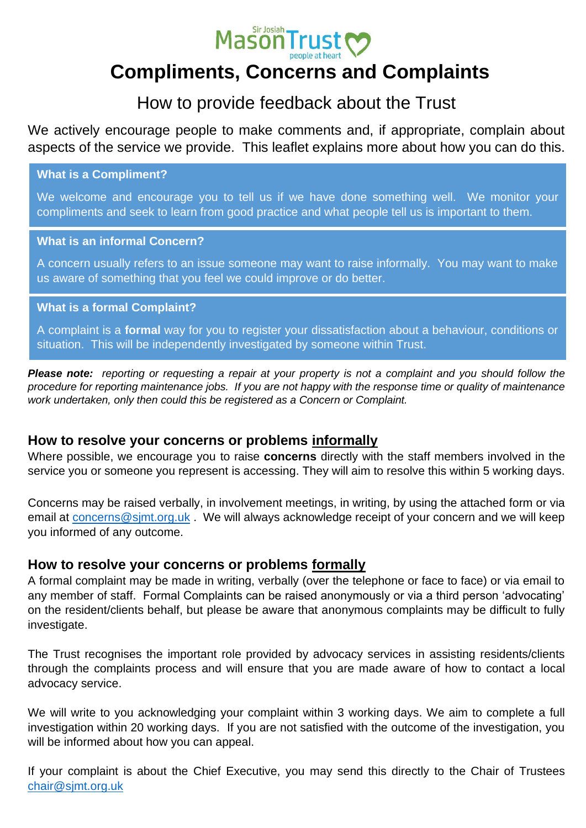

# **Compliments, Concerns and Complaints**

# How to provide feedback about the Trust

We actively encourage people to make comments and, if appropriate, complain about aspects of the service we provide. This leaflet explains more about how you can do this.

**What is a Compliment?** 

We welcome and encourage you to tell us if we have done something well. We monitor your compliments and seek to learn from good practice and what people tell us is important to them.

#### **What is an informal Concern?**

A concern usually refers to an issue someone may want to raise informally. You may want to make us aware of something that you feel we could improve or do better.

#### **What is a formal Complaint?**

A complaint is a **formal** way for you to register your dissatisfaction about a behaviour, conditions or situation. This will be independently investigated by someone within Trust.

*Please note: reporting or requesting a repair at your property is not a complaint and you should follow the procedure for reporting maintenance jobs. If you are not happy with the response time or quality of maintenance work undertaken, only then could this be registered as a Concern or Complaint.* 

#### **How to resolve your concerns or problems informally**

Where possible, we encourage you to raise **concerns** directly with the staff members involved in the service you or someone you represent is accessing. They will aim to resolve this within 5 working days.

Concerns may be raised verbally, in involvement meetings, in writing, by using the attached form or via email at [concerns@sjmt.org.uk](mailto:concerns@sjmt.org.uk) . We will always acknowledge receipt of your concern and we will keep you informed of any outcome.

#### **How to resolve your concerns or problems formally**

A formal complaint may be made in writing, verbally (over the telephone or face to face) or via email to any member of staff. Formal Complaints can be raised anonymously or via a third person 'advocating' on the resident/clients behalf, but please be aware that anonymous complaints may be difficult to fully investigate.

The Trust recognises the important role provided by advocacy services in assisting residents/clients through the complaints process and will ensure that you are made aware of how to contact a local advocacy service.

We will write to you acknowledging your complaint within 3 working days. We aim to complete a full investigation within 20 working days. If you are not satisfied with the outcome of the investigation, you will be informed about how you can appeal.

If your complaint is about the Chief Executive, you may send this directly to the Chair of Trustees [chair@sjmt.org.uk](mailto:chair@sjmt.org.uk)